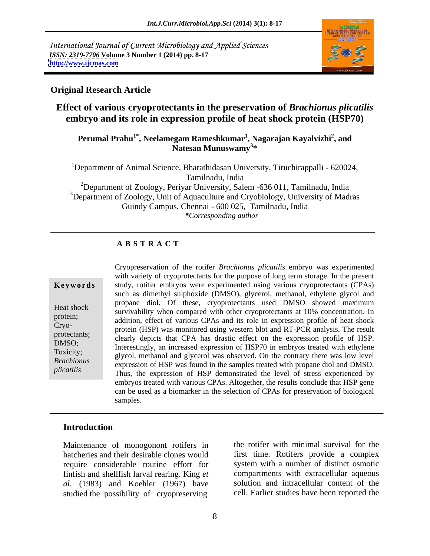International Journal of Current Microbiology and Applied Sciences *ISSN: 2319-7706* **Volume 3 Number 1 (2014) pp. 8-17 <http://www.ijcmas.com>**



### **Original Research Article**

## **Effect of various cryoprotectants in the preservation of** *Brachionus plicatilis* **embryo and its role in expression profile of heat shock protein (HSP70)**

### **Perumal Prabu1\* , Neelamegam Rameshkumar1 , Nagarajan Kayalvizhi<sup>2</sup>** <sup>.</sup><br>932 - Natesan Munuswamy<sup>3</sup> waxa maraka Kayalvizhi<sup>2</sup>, and<br>Natesan Munuswamy<sup>3</sup> w **\***

<sup>1</sup>Department of Animal Science, Bharathidasan University, Tiruchirappalli - 620024, Tamilnadu, India <sup>2</sup>Department of Zoology, Periyar University, Salem  $-636011$ , Tamilnadu, India  $3$ Department of Zoology, Unit of Aquaculture and Cryobiology, University of Madras

Guindy Campus, Chennai - 600 025, Tamilnadu, India

*\*Corresponding author* 

### **A B S T R A C T**

**Keywords** study, rotifer embryos were experimented using various cryoprotectants (CPAs) Heat shock survivability when compared with other cryoprotectants at 10% concentration. In protein;<br>
addition, effect of various CPAs and its role in expression profile of heat shock Cryo-<br>protein (HSP) was monitored using western blot and RT-PCR analysis. The result protectants; clearly depicts that CPA has drastic effect on the expression profile of HSP. DMSO;<br>The interestingly, an increased expression of HSP70 in embryos treated with ethylene Toxicity;<br>glycol, methanol and glycerol was observed. On the contrary there was low level *Brachionus* expression of HSP was found in the samples treated with propane diol and DMSO. *plicatilis* expression of HSP was found in the samples treated with propane diol and DMSO.<br>
Thus, the expression of HSP demonstrated the level of stress experienced by Cryopreservation of the rotifer *Brachionus plicatilis* embryo was experimented with variety of cryoprotectants for the purpose of long term storage. In the present such as dimethyl sulphoxide (DMSO), glycerol, methanol, ethylene glycol and propane diol. Of these, cryoprotectants used DMSO showed maximum embryos treated with various CPAs. Altogether, the results conclude that HSP gene can be used as a biomarker in the selection of CPAs for preservation of biological samples.

### **Introduction**

Maintenance of monogonont rotifers in hatcheries and their desirable clones would require considerable routine effort for finfish and shellfish larval rearing. King *et al.* (1983) and Koehler (1967) have studied the possibility of cryopreserving

the rotifer with minimal survival for the first time. Rotifers provide a complex system with a number of distinct osmotic compartments with extracellular aqueous solution and intracellular content of the cell. Earlier studies have been reported the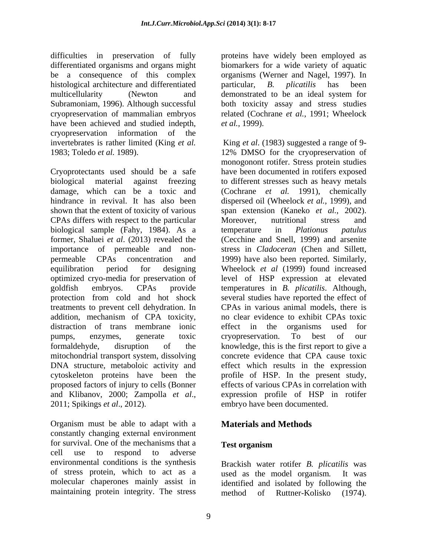difficulties in preservation of fully proteins have widely been employed as differentiated organisms and organs might be a consequence of this complex organisms (Werner and Nagel, 1997). In histological architecture and differentiated particular, B. plicatilis has been multicellularity (Newton and demonstrated to be an ideal system for Subramoniam, 1996). Although successful both toxicity assay and stress studies cryopreservation of mammalian embryos related (Cochrane *et al.*, 1991; Wheelock have been achieved and studied indepth, *et al.*, 1999).<br>cryopreservation information of the cryopreservation information

Cryoprotectants used should be a safe have been documented in rotifers exposed biological material against freezing to different stresses such as heavy metals damage, which can be a toxic and (Cochrane *et al.* 1991), chemically hindrance in revival. It has also been dispersed oil (Wheelock *et al.*, 1999), and shown that the extent of toxicity of various span extension (Kaneko *et al.*, 2002). CPAs differs with respect to the particular Moreover, nutritional stress and biological sample (Fahy, 1984). As a temperature in *Plationus patulus* former, Shaluei *et al*. (2013) revealed the (Cecchine and Snell, 1999) and arsenite importance of permeable and non- stress in *Cladoceran* (Chen and Sillett, permeable CPAs concentration and 1999) have also been reported. Similarly, equilibration period for designing Wheelock *et al* (1999) found increased optimized cryo-media for preservation of level of HSP expression at elevated goldfish embryos. CPAs provide temperatures in *B. plicatilis*. Although, protection from cold and hot shock several studies have reported the effect of treatments to prevent cell dehydration. In addition, mechanism of CPA toxicity, distraction of trans membrane ionic effect in the organisms used for pumps, enzymes, generate toxic formaldehyde, disruption of the knowledge, this is the first report to give a mitochondrial transport system, dissolving DNA structure, metaboloic activity and cytoskeleton proteins have been the profile of HSP. In the present study, proposed factors of injury to cells (Bonner and Klibanov, 2000; Zampolla *et al*., 2011; Spikings *et al*., 2012).

Organism must be able to adapt with a constantly changing external environment for survival. One of the mechanisms that a Test organism cell use to respond to adverse environmental conditions is the synthesis of stress protein, which to act as a used as the model organism. It was molecular chaperones mainly assist in identified and isolated by following the

biomarkers for a wide variety of aquatic particular, *B. plicatilis* has been demonstrated to be an ideal system for *et al.,* 1999).

invertebrates is rather limited (King *et al.* King *et al*. (1983) suggested a range of 9- 1983; Toledo *et al.* 1989). 12% DMSO for the cryopreservation of monogonont rotifer. Stress protein studies Moreover, nutritional stress and temperature in *Plationus patulus* CPAs in various animal models, there is no clear evidence to exhibit CPAs toxic effect in the organisms used for cryopreservation. To best of our concrete evidence that CPA cause toxic effect which results in the expression effects of various CPAs in correlation with expression profile of HSP in rotifer embryo have been documented.

## **Materials and Methods**

### **Test organism**

maintaining protein integrity. The stress method of Ruttner-Kolisko (1974). Brackish water rotifer *B. plicatilis* was used as the model organism. method of Ruttner-Kolisko (1974).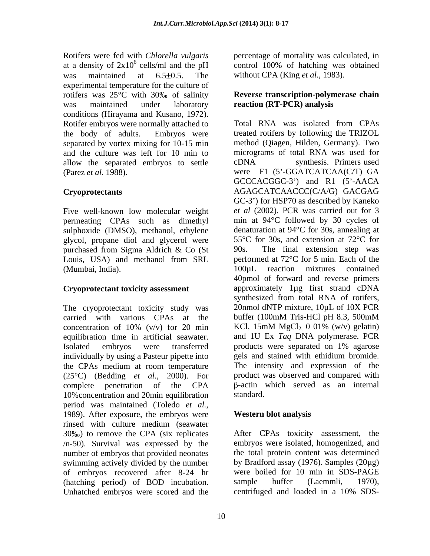Rotifers were fed with *Chlorella vulgaris* percentage of mortality was calculated, in at a density of  $2x10^6$  cells/ml and the pH was maintained at 6.5±0.5. The without CPA (King *et al.*, 1983). experimental temperature for the culture of rotifers was  $25^{\circ}$ C with 30% of salinity was maintained under laboratory **reaction (RT-PCR) analysis** conditions (Hirayama and Kusano, 1972). Rotifer embryos were normally attached to Total RNA was isolated from CPAs allow the separated embryos to settle cDNA synthesis. Primers used

Five well-known low molecular weight permeating CPAs such as dimethyl sulphoxide (DMSO), methanol, ethylene glycol, propane diol and glycerol were purchased from Sigma Aldrich & Co (St (Mumbai, India). 100μL reaction mixtures contained

The cryoprotectant toxicity study was a 20nmol dNTP mixture, 10µL of 10X PCR carried with various CPAs at the buffer (100mM Tris-HCl pH 8.3, 500mM carried with various CPAs at the Isolated embryos were transferred individually by using a Pasteur pipette into the CPAs medium at room temperature (25°C) (Bedding *et al.,* 2000). For 10%concentration and 20min equilibration period was maintained (Toledo *et al.,* 1989). After exposure, the embryos were rinsed with culture medium (seawater 30 ) to remove the CPA (six replicates After CPAs toxicity assessment, the /n-50). Survival was expressed by the number of embryos that provided neonates swimming actively divided by the number of embryos recovered after 8-24 hr (hatching period) of BOD incubation. Sample buffer (Laemmli, 1970),<br>Unhatched embryos were scored and the centrifuged and loaded in a 10% SDS-

<sup>6</sup> cells/ml and the pH control 100% of hatching was obtained control 100% of hatching was obtained

# **Reverse transcription-polymerase chain**

the body of adults. Embryos were treated rotifers by following the TRIZOL separated by vortex mixing for 10-15 min method (Qiagen, Hilden, Germany). Two and the culture was left for 10 min to micrograms of total RNA was used for (Parez *et al.* 1988). were F1 (5'-GGATCATCAA(C/T) GA **Cryoprotectants** AGAGCATCAACCC(C/A/G) GACGAG Louis, USA) and methanol from SRL performed at 72<sup>o</sup>C for 5 min. Each of the **Cryoprotectant toxicity assessment** approximately 1µg first strand cDNA concentration of 10% (v/v) for 20 min KCl,  $15 \text{mM MgCl}_2$ , 0 01% (w/v) gelatin) equilibration time in artificial seawater. and 1U Ex *Taq* DNA polymerase. PCR complete penetration of the CPA  $\beta$ -actin which served as an internal Total RNA was isolated from CPAs cDNA synthesis. Primers used GCCCACGGC-3') and R1 (5'-AACA GC-3 ) for HSP70 as described by Kaneko *et al* (2002). PCR was carried out for 3 min at 94°C followed by 30 cycles of denaturation at 94°C for 30s, annealing at 55°C for 30s, and extension at 72°C for The final extension step was performed at 72°C for 5 min. Each of the 100µL reaction mixtures contained 40pmol of forward and reverse primers synthesized from total RNA of rotifers, 20nmol dNTP mixture, 10µL of 10X PCR buffer (100mM Tris-HCl pH 8.3, 500mM products were separated on 1% agarose gels and stained with ethidium bromide. The intensity and expression of the product was observed and compared with -actin which served as an internal standard. **Executive Standard** 

### **Western blot analysis**

embryos were isolated, homogenized, and the total protein content was determined by Bradford assay (1976). Samples (20µg) were boiled for 10 min in SDS-PAGE sample buffer (Laemmli, 1970), centrifuged and loaded in a 10% SDS-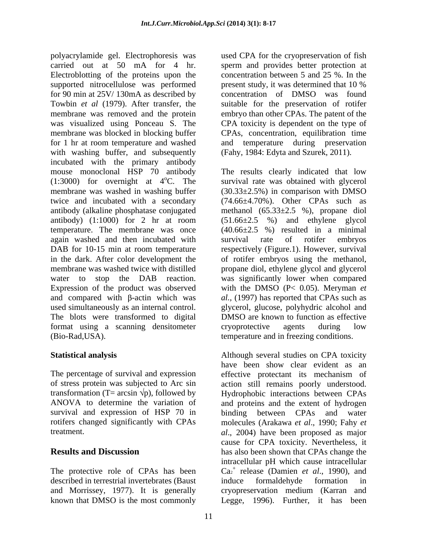polyacrylamide gel. Electrophoresis was carried out at 50 mA for 4 hr. sperm and provides better protection at Electroblotting of the proteins upon the supported nitrocellulose was performed present study, it was determined that 10 % for 90 min at 25V/ 130mA as described by concentration of DMSO was found Towbin *et al* (1979). After transfer, the suitable for the preservation of rotifer membrane was removed and the protein embryo than other CPAs. The patent of the was visualized using Ponceau S. The CPA toxicity is dependent on the type of membrane was blocked in blocking buffer CPAs, concentration, equilibration time for 1 hr at room temperature and washed with washing buffer, and subsequently incubated with the primary antibody mouse monoclonal HSP 70 antibody The results clearly indicated that low  $(1:3000)$  for overnight at  $4^{\circ}$ C. The survival rate was obtained with glycerol membrane was washed in washing buffer (30.33±2.5%) in comparison with DMSO twice and incubated with a secondary (74.66±4.70%). Other CPAs such as antibody (alkaline phosphatase conjugated methanol (65.33±2.5 %), propane diol antibody) (1:1000) for 2 hr at room (51.66±2.5 %) and ethylene glycol temperature. The membrane was once (40.66±2.5 %) resulted in a minimal again washed and then incubated with survival rate of rotifer embryos DAB for 10-15 min at room temperature respectively (Figure.1). However, survival in the dark. After color development the of rotifer embryos using the methanol, membrane was washed twice with distilled propane diol, ethylene glycol and glycerol water to stop the DAB reaction. was significantly lower when compared Expression of the product was observed with the DMSO (P< 0.05). Meryman *et*  and compared with  $\beta$ -actin which was al., (1997) has reported that CPAs such as used simultaneously as an internal control. glycerol, glucose, polyhydric alcohol and The blots were transformed to digital DMSO are known to function as effective format using a scanning densitometer cryoprotective agents during low

The percentage of survival and expression effective protectant its mechanism of survival and expression of HSP 70 in

The protective role of CPAs has been described in terrestrial invertebrates (Baust induce formal dehyde formation in

used CPA for the cryopreservation of fish concentration between 5 and 25 %. In the present study, it was determined that 10 % and temperature during preservation (Fahy, 1984: Edyta and Szurek, 2011).

(Bio-Rad,USA). temperature and in freezing conditions. survival rate of rotifer embryos cryoprotective agents during low

**Statistical analysis** Although several studies on CPA toxicity of stress protein was subjected to Arc sin action still remains poorly understood. transformation (T= arcsin  $\forall p$ ), followed by Hydrophobic interactions between CPAs ANOVA to determine the variation of and proteins and the extent of hydrogen rotifers changed significantly with CPAs molecules (Arakawa *et al*., 1990; Fahy *et*  treatment. *al*., 2004) have been proposed as major **Results and Discussion** has also been shown that CPAs change the and Morrissey, 1977). It is generally cryopreservation medium (Karran and known that DMSO is the most commonly Legge, 1996). Further, it has beenhave been show clear evident as an effective protectant its mechanism of binding between CPAs and water cause for CPA toxicity. Nevertheless, it intracellular pH which cause intracellular  $Ca<sub>2</sub><sup>+</sup>$  release (Damien *et al.*, 1990), and induce formaldehyde formation in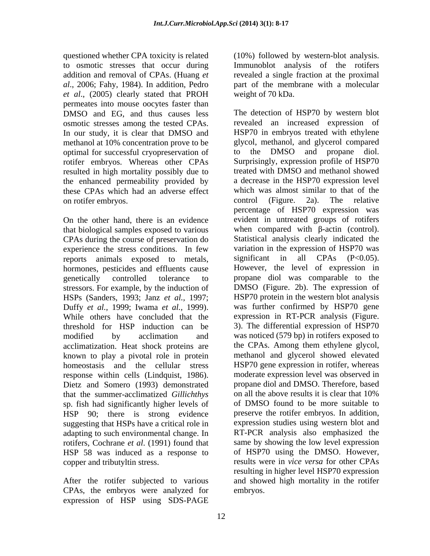questioned whether CPA toxicity is related (10%) followed by western-blot analysis. to osmotic stresses that occur during Immunoblot analysis of the rotifers addition and removal of CPAs. (Huang *et al*., 2006; Fahy, 1984). In addition, Pedro part of the membrane with a molecular *et al*., (2005) clearly stated that PROH permeates into mouse oocytes faster than DMSO and EG, and thus causes less osmotic stresses among the tested CPAs. In our study, it is clear that DMSO and methanol at 10% concentration prove to be glycol, methanol, and glycerol compared<br>optimal for successful cryopreservation of to the DMSO and propane diol. optimal for successful cryopreservation of rotifer embryos. Whereas other CPAs resulted in high mortality possibly due to the enhanced permeability provided by these CPAs which had an adverse effect on rotifer embryos. control (Figure. 2a). The relative

CPAs during the course of preservation do experience the stress conditions. In few reports animals exposed to metals, hormones, pesticides and effluents cause stressors. For example, by the induction of HSPs (Sanders, 1993; Janz *et al.,* 1997; threshold for HSP induction can be 3). The differential expression of HSP70 acclimatization. Heat shock proteins are known to play a pivotal role in protein homeostasis and the cellular stress response within cells (Lindquist, 1986). Dietz and Somero (1993) demonstrated propane diol and DMSO. Therefore, based<br>that the summer-acclimatized *Gillichthys* on all the above results it is clear that 10% that the summer-acclimatized *Gillichthys* sp. fish had significantly higher levels of suggesting that HSPs have a critical role in HSP 58 was induced as a response to

CPAs, the embryos were analyzed for expression of HSP using SDS-PAGE

revealed a single fraction at the proximal weight of 70 kDa.

On the other hand, there is an evidence evident in untreated groups of rotifers that biological samples exposed to various when compared with  $\beta$ -actin (control). genetically controlled tolerance to propane diol was comparable to the Duffy *et al.*, 1999; Iwama *et al.*, 1999). Was further confirmed by HSP70 gene<br>While others have concluded that the expression in RT-PCR analysis (Figure. modified by acclimation and was noticed (579 bp) in rotifers exposed to HSP 90; there is strong evidence preserve the rotifer embryos. In addition, adapting to such environmental change. In RT-PCR analysis also emphasized the rotifers, Cochrane *et al*. (1991) found that same by showing the low level expression copper and tributyltin stress. results were in *vice versa* forother CPAs After the rotifer subjected to various and showed high mortality in the rotifer The detection of HSP70 by western blot revealed an increased expression of HSP70 in embryos treated with ethylene glycol, methanol, and glycerol compared to the DMSO and propane diol. Surprisingly, expression profile of HSP70 treated with DMSO and methanol showed a decrease in the HSP70 expression level which was almost similar to that of the control (Figure. 2a). The relative percentage of HSP70 expression was Statistical analysis clearly indicated the variation in the expression of HSP70 was significant in all CPAs  $(P<0.05)$ . However, the level of expression in DMSO (Figure. 2b). The expression of HSP70 protein in the western blot analysis was further confirmed by HSP70 gene expression in RT-PCR analysis (Figure. 3). The differential expression of HSP70 the CPAs. Among them ethylene glycol, methanol and glycerol showed elevated HSP70 gene expression in rotifer, whereas moderate expression level was observed in propane diol and DMSO. Therefore, based on all the above results it is clear that 10% of DMSO found to be more suitable to expression studies using western blot and of HSP70 using the DMSO. However, resulting in higher level HSP70 expression embryos.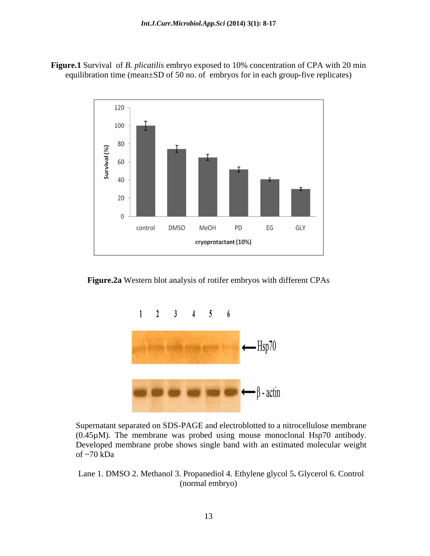**Figure.1** Survival of *B. plicatilis* embryo exposed to 10% concentration of CPA with 20 min equilibration time (mean±SD of 50 no. of embryos for in each group-five replicates)



**Figure.2a** Western blot analysis of rotifer embryos with different CPAs



Supernatant separated on SDS-PAGE and electroblotted to a nitrocellulose membrane (0.45µM). The membrane was probed using mouse monoclonal Hsp70 antibody. Developed membrane probe shows single band with an estimated molecular weight  $\sigma$  -70 kDa

Lane 1. DMSO 2. Methanol 3. Propanediol 4. Ethylene glycol 5**.** Glycerol 6. Control (normal embryo)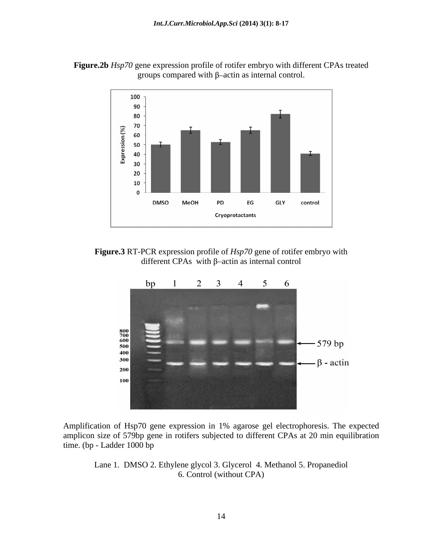



**Figure.3** RT-PCR expression profile of *Hsp70* gene of rotifer embryo with different CPAs with  $\beta$ -actin as internal control



Amplification of Hsp70 gene expression in 1% agarose gel electrophoresis. The expected amplicon size of 579bp gene in rotifers subjected to different CPAs at 20 min equilibration time. (bp - Ladder 1000 bp

Lane 1. DMSO 2. Ethylene glycol 3. Glycerol 4. Methanol 5. Propanediol 6. Control (without CPA)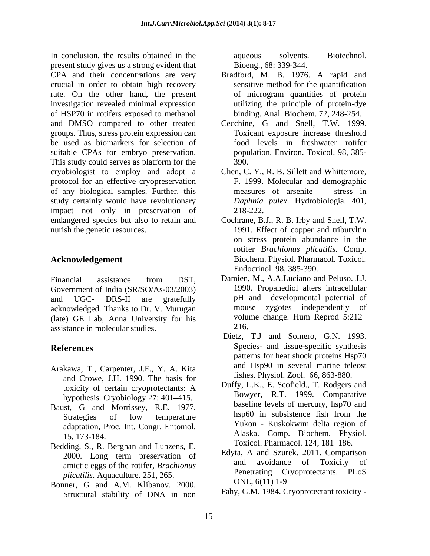In conclusion, the results obtained in the aqueous solvents. Biotechnol. present study gives us a strong evident that Bioeng., 68: 339-344. CPA and their concentrations are very crucial in order to obtain high recovery rate. On the other hand, the present of microgram quantities of protein investigation revealed minimal expression of HSP70 in rotifers exposed to methanol and DMSO compared to other treated groups. Thus, stress protein expression can be used as biomarkers for selection of suitable CPAs for embryo preservation. population. Environ. Toxicol. 98, 385-<br>This study could serves as platform for the 390. cryobiologist to employ and adopt a Chen, C. Y., R. B. Sillett and Whittemore, protocol for an effective cryopreservation of any biological samples. Further, this study certainly would have revolutionary impact not only in preservation of 218-222. endangered species but also to retain and Cochrane, B.J., R. B. Irby and Snell, T.W. nurish the genetic resources. 1991. Effect of copper and tributyltin

Financial assistance from DST, Damien, M., A.A.Luciano and Peluso. J.J. Government of India (SR/SO/As-03/2003) and UGC- DRS-II are gratefully pH and developmental potential of acknowledged. Thanks to Dr. V. Murugan mouse zygotes independently of (late) GE Lab Anna University for his volume change. Hum Reprod 5:212– (late) GE Lab, Anna University for his assistance in molecular studies.

- Arakawa, T., Carpenter, J.F., Y. A. Kita and Crowe, J.H. 1990. The basis for toxicity of certain cryoprotectants: A hypothesis. Cryobiology 27: 401–415.
- Baust, G and Morrissey, R.E. 1977. baseline levels of mercury, hsp /0 and hsp of low temperature hsp 60 in subsistence fish from the
- Bedding, S., R. Berghan and Lubzens, E. amictic eggs of the rotifer, *Brachionus plicatilis*. Aquaculture. 251, 265. Penetrating C<sub>1</sub><br>https://www.com/2000. DNE, 6(11) 1-9
- Bonner, G and A.M. Klibanov. 2000. UNE, 0(11) 1-9<br>Structural stability of DNA in non Fahy, G.M. 1984. Cryoprotectant toxicity -

aqueous solvents. Biotechnol. Bioeng., 68: 339-344.

- Bradford, M. B. 1976. A rapid and sensitive method for the quantification of microgram quantities of protein utilizing the principle of protein-dye binding. Anal. Biochem. 72, 248-254.
- Cecchine, G and Snell, T.W. 1999. Toxicant exposure increase threshold food levels in freshwater rotifer population. Environ. Toxicol. 98, 385- 390.
- F. 1999. Molecular and demographic measures of arsenite stress in *Daphnia pulex*. Hydrobiologia. 401, 218-222.
- **Acknowledgement**  Biochem. Physiol. Pharmacol. Toxicol. on stress protein abundance in the rotifer *Brachionus plicatilis.* Comp. Endocrinol. 98, 385-390.
	- Damien, M., A.A.Luciano and Peluso. J.J. 1990. Propanediol alters intracellular zygotes independently of volume change. Hum Reprod 5:212 216.
- **References** Species- and tissue-specific synthesis Dietz, T.J and Somero, G.N. 1993. patterns for heat shock proteins Hsp70 and Hsp90 in several marine teleost fishes. Physiol. Zool. 66, 863-880.
	- Strategies of low temperature and in subsistence its in from the adaptation, Proc. Int. Congr. Entomol. Yukon - Kuskokwim delta region of 15, 173-184. Alaska. Comp. Biochem. Physiol. Duffy, L.K., E. Scofield., T. Rodgers and Bowyer, R.T. 1999. Comparative baseline levels of mercury, hsp70 and hsp60 in subsistence fish from the Yukon - Kuskokwim delta region of Toxicol. Pharmacol. 124, 181-186.
	- 2000. Long term preservation of Edyla, A and Szurek.  $2011$ . Comparison Edyta, A and Szurek. 2011. Comparison avoidance of Toxicity of Penetrating Cryoprotectants. PLoS ONE, 6(11) 1-9
		- Fahy, G.M. 1984. Cryoprotectant toxicity -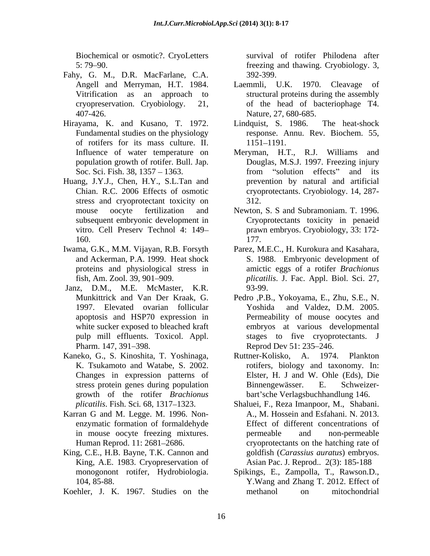Biochemical or osmotic?. CryoLetters

- Fahy, G. M., D.R. MacFarlane, C.A.
- Hirayama, K. and Kusano, T. 1972. Lindquist, S. 1986. The heat-shock of rotifers for its mass culture. II. population growth of rotifer. Bull. Jap.
- Huang, J.Y.J., Chen, H.Y., S.L.Tan and stress and cryoprotectant toxicity on 312.
- Iwama, G.K., M.M. Vijayan, R.B. Forsyth Parez, M.E.C., H. Kurokura and Kasahara,
- Janz, D.M., M.E. McMaster, K.R. 1997. Elevated ovarian follicular white sucker exposed to bleached kraft
- Kaneko, G., S. Kinoshita, T. Yoshinaga,
- Karran G and M. Legge. M. 1996. Non-
- King, C.E., H.B. Bayne, T.K. Cannon and King, A.E. 1983. Cryopreservation of
- 

5: 79 90. freezing and thawing. Cryobiology. 3, survival of rotifer Philodena after 392-399.

- Angell and Merryman, H.T. 1984. Laemmli, U.K. 1970. Cleavage of Vitrification as an approach to structural proteins during the assembly cryopreservation. Cryobiology. 21, of the head of bacteriophage T4. 407-426. Nature, 27, 680-685. Laemmli, U.K. 1970. Cleavage
- Fundamental studies on the physiology response. Annu. Rev. Biochem. 55, Lindquist, S. 1986. The heat-shock 1151–1191.
- Influence of water temperature on Meryman, H.T., R.J. Williams and Soc. Sci. Fish. 38, 1357 – 1363. The from "solution effects" and its Chian. R.C. 2006 Effects of osmotic cryoprotectants. Cryobiology. 14, 287- Douglas, M.S.J. 1997. Freezing injury from "solution effects" and its prevention by natural and artificial 312.
- mouse oocyte fertilization and Newton, S. S and Subramoniam. T. 1996. subsequent embryonic development in Cryoprotectants toxicity in penaeid vitro. Cell Preserv Technol 4: 149 prawn embryos. Cryobiology, 33: 172- 160. 177. 177.
- and Ackerman, P.A. 1999. Heat shock S. 1988. Embryonic development of proteins and physiological stress in amictic eggs of a rotifer *Brachionus*  fish, Am. Zool. 39, 901 909. *plicatilis*. J. Fac. Appl. Biol. Sci. 27, 93-99.
- Munkittrick and Van Der Kraak, G. Pedro ,P.B., Yokoyama, E., Zhu, S.E., N. apoptosis and HSP70 expression in Permeability of mouse oocytes and pulp mill effluents. Toxicol. Appl. stages to five cryoprotectants. J Pharm. 147, 391–398. Reprod Dev 51: 235–246. and Valdez, D.M. 2005. embryos at various developmental Reprod Dev 51: 235–246.
- K. Tsukamoto and Watabe, S. 2002. rotifers, biology and taxonomy. In: Changes in expression patterns of Elster, H. J and W. Ohle (Eds), Die stress protein genes during population Binnengewässer. E. Schweizergrowth of the rotifer *Brachionus*  bart sche Verlagsbuchhandlung 146. Ruttner-Kolisko, A. 1974. Plankton Binnengewässer. E. Schweizer-
- *plicatilis*. Fish. Sci*.* 68, 1317 1323. Shaluei, F., Reza Imanpoor, M., Shabani. enzymatic formation of formaldehyde Effect of different concentrations of in mouse oocyte freezing mixtures. Human Reprod. 11: 2681–2686. cryoprotectants on the hatching rate of A., M. Hossein and Esfahani. N. 2013. permeable and non-permeable goldfish (*Carassius auratus*) embryos. Asian Pac. J. Reprod.. 2(3): 185-188
- monogonont rotifer, Hydrobiologia. Spikings, E., Zampolla, T., Rawson.D., 104, 85-88. Y.Wang and Zhang T. 2012. Effect of Koehler, J. K. 1967. Studies on the methanol on mitochondrial